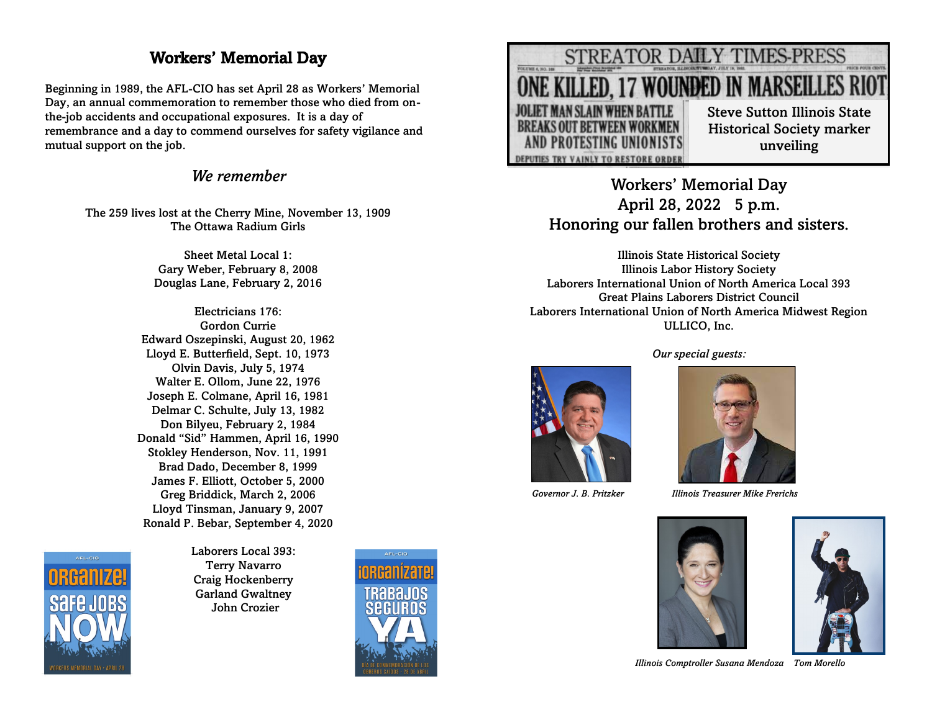# Workers' Memorial Day

Beginning in 1989, the AFL-CIO has set April 28 as Workers' Memorial Day, an annual commemoration to remember those who died from onthe-job accidents and occupational exposures. It is a day of remembrance and a day to commend ourselves for safety vigilance and mutual support on the job.

### *We remember*

The 259 lives lost at the Cherry Mine, November 13, 1909 The Ottawa Radium Girls

> Sheet Metal Local 1: Gary Weber, February 8, 2008 Douglas Lane, February 2, 2016

Electricians 176: Gordon Currie Edward Oszepinski, August 20, 1962 Lloyd E. Butterfield, Sept. 10, 1973 Olvin Davis, July 5, 1974 Walter E. Ollom, June 22, 1976 Joseph E. Colmane, April 16, 1981 Delmar C. Schulte, July 13, 1982 Don Bilyeu, February 2, 1984 Donald "Sid" Hammen, April 16, 1990 Stokley Henderson, Nov. 11, 1991 Brad Dado, December 8, 1999 James F. Elliott, October 5, 2000 Greg Briddick, March 2, 2006 Lloyd Tinsman, January 9, 2007 Ronald P. Bebar, September 4, 2020



Laborers Local 393: Terry Navarro Craig Hockenberry Garland Gwaltney John Crozier





Workers' Memorial Day April 28, 2022 5 p.m. Honoring our fallen brothers and sisters.

Illinois State Historical Society Illinois Labor History Society Laborers International Union of North America Local 393 Great Plains Laborers District Council Laborers International Union of North America Midwest Region ULLICO, Inc.



*Our special guests:*

 *Governor J. B. Pritzker Illinois Treasurer Mike Frerichs*





 *Illinois Comptroller Susana Mendoza Tom Morello*